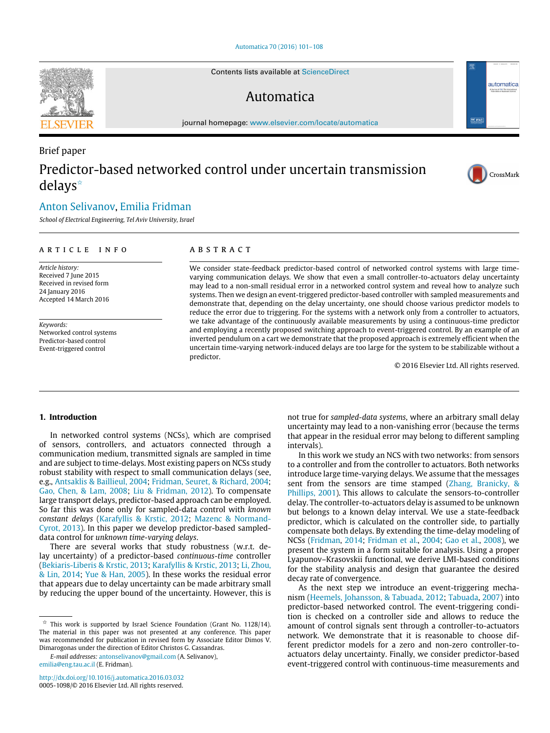## [Automatica 70 \(2016\) 101–108](http://dx.doi.org/10.1016/j.automatica.2016.03.032)

Contents lists available at [ScienceDirect](http://www.elsevier.com/locate/automatica)

# Automatica

journal homepage: [www.elsevier.com/locate/automatica](http://www.elsevier.com/locate/automatica)

# Brief paper Predictor-based networked control under uncertain transmission delays[✩](#page-0-0)

## [Anton Selivanov,](#page-7-0) [Emilia Fridman](#page-7-1)

*School of Electrical Engineering, Tel Aviv University, Israel*

## ARTICLE INFO

*Article history:* Received 7 June 2015 Received in revised form 24 January 2016 Accepted 14 March 2016

*Keywords:* Networked control systems Predictor-based control Event-triggered control

## A B S T R A C T

We consider state-feedback predictor-based control of networked control systems with large timevarying communication delays. We show that even a small controller-to-actuators delay uncertainty may lead to a non-small residual error in a networked control system and reveal how to analyze such systems. Then we design an event-triggered predictor-based controller with sampled measurements and demonstrate that, depending on the delay uncertainty, one should choose various predictor models to reduce the error due to triggering. For the systems with a network only from a controller to actuators, we take advantage of the continuously available measurements by using a continuous-time predictor and employing a recently proposed switching approach to event-triggered control. By an example of an inverted pendulum on a cart we demonstrate that the proposed approach is extremely efficient when the uncertain time-varying network-induced delays are too large for the system to be stabilizable without a predictor.

© 2016 Elsevier Ltd. All rights reserved.

#### **1. Introduction**

In networked control systems (NCSs), which are comprised of sensors, controllers, and actuators connected through a communication medium, transmitted signals are sampled in time and are subject to time-delays. Most existing papers on NCSs study robust stability with respect to small communication delays (see, e.g., [Antsaklis](#page-7-2) [&](#page-7-2) [Baillieul,](#page-7-2) [2004;](#page-7-2) [Fridman,](#page-7-3) [Seuret,](#page-7-3) [&](#page-7-3) [Richard,](#page-7-3) [2004;](#page-7-3) [Gao,](#page-7-4) [Chen,](#page-7-4) [&](#page-7-4) [Lam,](#page-7-4) [2008;](#page-7-4) [Liu](#page-7-5) [&](#page-7-5) [Fridman,](#page-7-5) [2012\)](#page-7-5). To compensate large transport delays, predictor-based approach can be employed. So far this was done only for sampled-data control with *known [c](#page-7-7)onstant delays* [\(Karafyllis](#page-7-6) [&](#page-7-6) [Krstic,](#page-7-6) [2012;](#page-7-6) [Mazenc](#page-7-7) [&](#page-7-7) [Normand-](#page-7-7)[Cyrot,](#page-7-7) [2013\)](#page-7-7). In this paper we develop predictor-based sampleddata control for *unknown time-varying delays*.

There are several works that study robustness (w.r.t. delay uncertainty) of a predictor-based *continuous-time* controller [\(Bekiaris-Liberis](#page-7-8) [&](#page-7-8) [Krstic,](#page-7-8) [2013;](#page-7-8) [Karafyllis](#page-7-9) [&](#page-7-9) [Krstic,](#page-7-9) [2013;](#page-7-9) [Li,](#page-7-10) [Zhou,](#page-7-10) [&](#page-7-10) [Lin,](#page-7-10) [2014;](#page-7-10) [Yue](#page-7-11) [&](#page-7-11) [Han,](#page-7-11) [2005\)](#page-7-11). In these works the residual error that appears due to delay uncertainty can be made arbitrary small by reducing the upper bound of the uncertainty. However, this is

*E-mail addresses:* [antonselivanov@gmail.com](mailto:antonselivanov@gmail.com) (A. Selivanov), [emilia@eng.tau.ac.il](mailto:emilia@eng.tau.ac.il) (E. Fridman).

<http://dx.doi.org/10.1016/j.automatica.2016.03.032> 0005-1098/© 2016 Elsevier Ltd. All rights reserved.

not true for *sampled-data systems*, where an arbitrary small delay uncertainty may lead to a non-vanishing error (because the terms that appear in the residual error may belong to different sampling intervals).

In this work we study an NCS with two networks: from sensors to a controller and from the controller to actuators. Both networks introduce large time-varying delays. We assume that the messages sent from the sensors are time stamped [\(Zhang,](#page-7-12) [Branicky,](#page-7-12) [&](#page-7-12) [Phillips,](#page-7-12) [2001\)](#page-7-12). This allows to calculate the sensors-to-controller delay. The controller-to-actuators delay is assumed to be unknown but belongs to a known delay interval. We use a state-feedback predictor, which is calculated on the controller side, to partially compensate both delays. By extending the time-delay modeling of NCSs [\(Fridman,](#page-7-13) [2014;](#page-7-13) [Fridman](#page-7-3) [et al.,](#page-7-3) [2004;](#page-7-3) [Gao](#page-7-4) [et al.,](#page-7-4) [2008\)](#page-7-4), we present the system in a form suitable for analysis. Using a proper Lyapunov–Krasovskii functional, we derive LMI-based conditions for the stability analysis and design that guarantee the desired decay rate of convergence.

As the next step we introduce an event-triggering mechanism [\(Heemels,](#page-7-14) [Johansson,](#page-7-14) [&](#page-7-14) [Tabuada,](#page-7-14) [2012;](#page-7-14) [Tabuada,](#page-7-15) [2007\)](#page-7-15) into predictor-based networked control. The event-triggering condition is checked on a controller side and allows to reduce the amount of control signals sent through a controller-to-actuators network. We demonstrate that it is reasonable to choose different predictor models for a zero and non-zero controller-toactuators delay uncertainty. Finally, we consider predictor-based event-triggered control with continuous-time measurements and





automatica  $\boxed{\nabla}$  IFA

<span id="page-0-0"></span> $\overrightarrow{x}$  This work is supported by Israel Science Foundation (Grant No. 1128/14). The material in this paper was not presented at any conference. This paper was recommended for publication in revised form by Associate Editor Dimos V. Dimarogonas under the direction of Editor Christos G. Cassandras.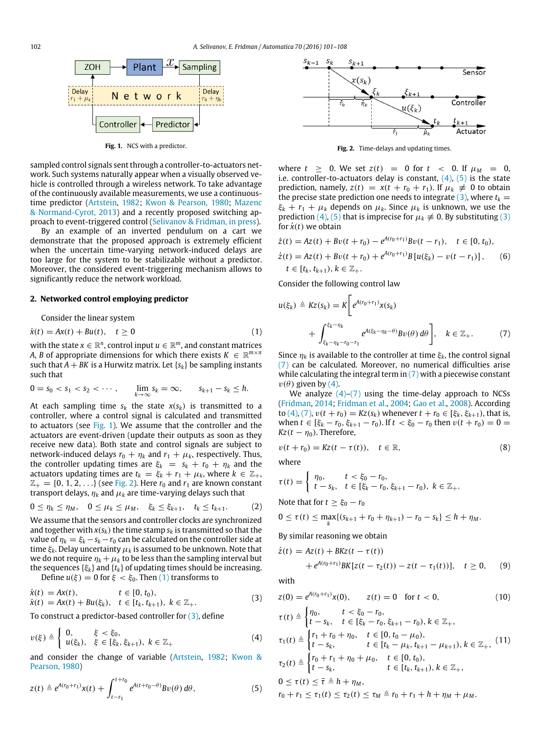<span id="page-1-0"></span>

Fig. 1. NCS with a predictor.

sampled control signals sent through a controller-to-actuators network. Such systems naturally appear when a visually observed vehicle is controlled through a wireless network. To take advantage of the continuously available measurements, we use a continuoustime predictor [\(Artstein,](#page-7-16) [1982;](#page-7-16) [Kwon](#page-7-17) [&](#page-7-17) [Pearson,](#page-7-17) [1980;](#page-7-17) [Mazenc](#page-7-7) [&](#page-7-7) [Normand-Cyrot,](#page-7-7) [2013\)](#page-7-7) and a recently proposed switching approach to event-triggered control [\(Selivanov](#page-7-18) [&](#page-7-18) [Fridman,](#page-7-18) [in press\)](#page-7-18).

By an example of an inverted pendulum on a cart we demonstrate that the proposed approach is extremely efficient when the uncertain time-varying network-induced delays are too large for the system to be stabilizable without a predictor. Moreover, the considered event-triggering mechanism allows to significantly reduce the network workload.

#### <span id="page-1-10"></span>**2. Networked control employing predictor**

Consider the linear system

$$
\dot{x}(t) = Ax(t) + Bu(t), \quad t \ge 0
$$
\n(1)

with the state  $x \in \mathbb{R}^n$ , control input  $u \in \mathbb{R}^m$ , and constant matrices *A*, *B* of appropriate dimensions for which there exists  $K \in \mathbb{R}^{m \times n}$ such that  $A + BK$  is a Hurwitz matrix. Let  $\{s_k\}$  be sampling instants such that

$$
0 = s_0 < s_1 < s_2 < \cdots, \qquad \lim_{k \to \infty} s_k = \infty, \qquad s_{k+1} - s_k \leq h.
$$

At each sampling time  $s_k$  the state  $x(s_k)$  is transmitted to a controller, where a control signal is calculated and transmitted to actuators (see [Fig. 1\)](#page-1-0). We assume that the controller and the actuators are event-driven (update their outputs as soon as they receive new data). Both state and control signals are subject to network-induced delays  $r_0 + \eta_k$  and  $r_1 + \mu_k$ , respectively. Thus, the controller updating times are  $\xi_k = s_k + r_0 + \eta_k$  and the actuators updating times are  $t_k = \xi_k + r_1 + \mu_k$ , where  $k \in \mathbb{Z}_+$ ,  $\mathbb{Z}_+ = \{0, 1, 2, \ldots\}$  (see [Fig. 2\)](#page-1-1). Here  $r_0$  and  $r_1$  are known constant transport delays,  $\eta_k$  and  $\mu_k$  are time-varying delays such that

$$
0 \le \eta_k \le \eta_M, \quad 0 \le \mu_k \le \mu_M, \quad \xi_k \le \xi_{k+1}, \quad t_k \le t_{k+1}.
$$
 (2)

We assume that the sensors and controller clocks are synchronized and together with  $x(s_k)$  the time stamp  $s_k$  is transmitted so that the value of  $\eta_k = \xi_k - s_k - r_0$  can be calculated on the controller side at time  $\xi_k$ . Delay uncertainty  $\mu_k$  is assumed to be unknown. Note that we do not require  $\eta_k + \mu_k$  to be less than the sampling interval but the sequences  $\{\xi_k\}$  and  $\{t_k\}$  of updating times should be increasing.

Define  $u(\xi) = 0$  for  $\xi < \xi_0$ . Then [\(1\)](#page-1-2) transforms to

$$
\dot{x}(t) = Ax(t), \qquad t \in [0, t_0), \n\dot{x}(t) = Ax(t) + Bu(\xi_k), \quad t \in [t_k, t_{k+1}), \ k \in \mathbb{Z}_+.
$$
\n(3)

To construct a predictor-based controller for [\(3\),](#page-1-3) define

$$
v(\xi) \triangleq \left\{ \begin{array}{ll} 0, & \xi < \xi_0, \\ u(\xi_k), & \xi \in [\xi_k, \xi_{k+1}), \ k \in \mathbb{Z}_+ \end{array} \right. \tag{4}
$$

and consider the change of variable [\(Artstein,](#page-7-16) [1982;](#page-7-16) [Kwon](#page-7-17) [&](#page-7-17) [Pearson,](#page-7-17) [1980\)](#page-7-17)

$$
z(t) \triangleq e^{A(r_0+r_1)}x(t) + \int_{t-r_1}^{t+r_0} e^{A(t+r_0-\theta)}Bv(\theta) d\theta,
$$
\n(5)

<span id="page-1-1"></span>

**Fig. 2.** Time-delays and updating times.

where  $t > 0$ . We set  $z(t) = 0$  for  $t < 0$ . If  $\mu_M = 0$ . i.e. controller-to-actuators delay is constant,  $(4)$ ,  $(5)$  is the state prediction, namely,  $z(t) = x(t + r_0 + r_1)$ . If  $\mu_k \neq 0$  to obtain the precise state prediction one needs to integrate  $(3)$ , where  $t_k =$  $\xi_k + r_1 + \mu_k$  depends on  $\mu_k$ . Since  $\mu_k$  is unknown, we use the prediction [\(4\),](#page-1-4) [\(5\)](#page-1-5) that is imprecise for  $\mu_k \neq 0$ . By substituting [\(3\)](#page-1-3) for  $\dot{x}(t)$  we obtain

$$
\dot{z}(t) = Az(t) + Bv(t + r_0) - e^{A(r_0 + r_1)}Bv(t - r_1), \quad t \in [0, t_0),
$$
  
\n
$$
\dot{z}(t) = Az(t) + Bv(t + r_0) + e^{A(r_0 + r_1)}B[u(\xi_k) - v(t - r_1)], \quad (6)
$$
  
\n
$$
t \in [t_k, t_{k+1}), k \in \mathbb{Z}_+.
$$

Consider the following control law

<span id="page-1-6"></span>
$$
u(\xi_k) \triangleq Kz(s_k) = K \bigg[ e^{A(r_0 + r_1)} x(s_k)
$$
  
+ 
$$
\int_{\xi_k - \eta_k - r_0 - r_1}^{\xi_k - \eta_k} e^{A(\xi_k - \eta_k - \theta)} Bv(\theta) d\theta \bigg], \quad k \in \mathbb{Z}_+.
$$
 (7)

<span id="page-1-2"></span>Since  $\eta_k$  is available to the controller at time  $\xi_k$ , the control signal [\(7\)](#page-1-6) can be calculated. Moreover, no numerical difficulties arise while calculating the integral term in  $(7)$  with a piecewise constant  $v(\theta)$  given by [\(4\).](#page-1-4)

We analyze  $(4)-(7)$  $(4)-(7)$  using the time-delay approach to NCSs [\(Fridman,](#page-7-13) [2014;](#page-7-13) [Fridman](#page-7-3) [et al.,](#page-7-3) [2004;](#page-7-3) [Gao](#page-7-4) [et al.,](#page-7-4) [2008\)](#page-7-4). According to [\(4\),](#page-1-4) [\(7\),](#page-1-6)  $v(t + r_0) = Kz(s_k)$  whenever  $t + r_0 \in [\xi_k, \xi_{k+1})$ , that is, when  $t \in [\xi_k - r_0, \xi_{k+1} - r_0)$ . If  $t < \xi_0 - r_0$  then  $v(t + r_0) = 0$  $Kz(t - \eta_0)$ . Therefore,

$$
v(t+r_0) = Kz(t-\tau(t)), \quad t \in \mathbb{R}, \tag{8}
$$

<span id="page-1-12"></span>where

$$
\tau(t) = \begin{cases} \eta_0, & t < \xi_0 - r_0, \\ t - s_k, & t \in [\xi_k - r_0, \xi_{k+1} - r_0), \ k \in \mathbb{Z}_+.\end{cases}
$$

<span id="page-1-11"></span>Note that for 
$$
t \ge \xi_0 - r_0
$$

$$
0 \leq \tau(t) \leq \max_k \{ (s_{k+1} + r_0 + \eta_{k+1}) - r_0 - s_k \} \leq h + \eta_M.
$$

By similar reasoning we obtain

<span id="page-1-7"></span>
$$
\dot{z}(t) = Az(t) + BKz(t - \tau(t)) + e^{A(r_0 + r_1)}BK[z(t - \tau_2(t)) - z(t - \tau_1(t))], \quad t \ge 0,
$$
 (9)

with

<span id="page-1-9"></span><span id="page-1-3"></span>
$$
z(0) = e^{A(r_0 + r_1)}x(0), \qquad z(t) = 0 \quad \text{for } t < 0,\tag{10}
$$

<span id="page-1-8"></span><span id="page-1-4"></span>
$$
\tau(t) \triangleq \begin{cases}\n\eta_0, & t < \xi_0 - r_0, \\
t - s_k, & t \in [\xi_k - r_0, \xi_{k+1} - r_0), k \in \mathbb{Z}_+, \\
\tau_1(t) \triangleq \begin{cases}\nr_1 + r_0 + \eta_0, & t \in [0, t_0 - \mu_0), \\
t - s_k, & t \in [t_k - \mu_k, t_{k+1} - \mu_{k+1}), k \in \mathbb{Z}_+, \\
\tau_2(t) \triangleq \begin{cases}\nr_0 + r_1 + \eta_0 + \mu_0, & t \in [0, t_0), \\
t - s_k, & t \in [t_k, t_{k+1}), k \in \mathbb{Z}_+, \\
0 \leq \tau(t) \leq \overline{\tau} \triangleq h + \eta_M,\n\end{cases} (11)
$$

<span id="page-1-5"></span> $r_0 + r_1 \leq \tau_1(t) \leq \tau_2(t) \leq \tau_M \triangleq r_0 + r_1 + h + \eta_M + \mu_M$ .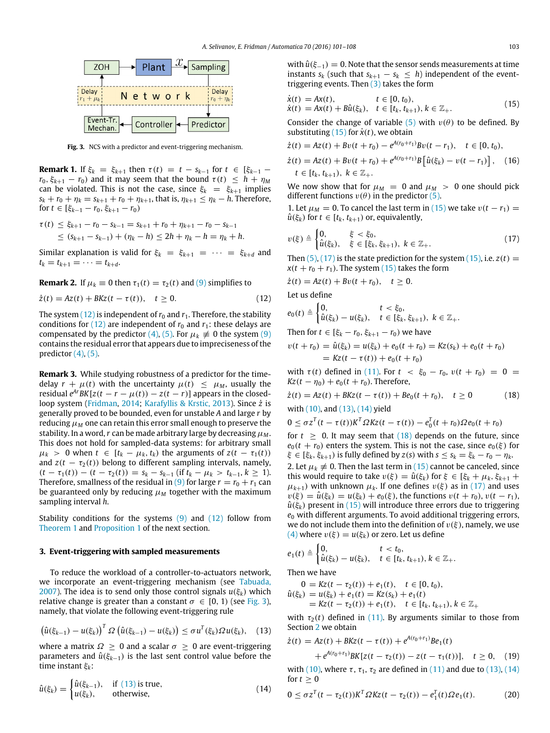<span id="page-2-1"></span>

**Fig. 3.** NCS with a predictor and event-triggering mechanism.

**Remark 1.** If  $\xi_k = \xi_{k+1}$  then  $\tau(t) = t - s_{k-1}$  for  $t \in [\xi_{k-1}$  $r_0$ ,  $\xi_{k+1} - r_0$ ) and it may seem that the bound  $\tau(t) \leq h + \eta_M$ can be violated. This is not the case, since  $\xi_k = \xi_{k+1}$  implies *s*<sup>*k*</sup> + *r*<sup>0</sup> + *η*<sup>*k*</sup> = *s*<sub>*k*+1</sub> + *r*<sup>0</sup> + *η*<sub>*k*+1</sub>, that is, *η*<sub>*k*+1</sub> ≤ *η*<sup>*k*</sup> − *h*. Therefore, for *t* ∈ [ξ*k*−<sup>1</sup> − *r*0, ξ*k*+<sup>1</sup> − *r*0)

$$
\tau(t) \leq \xi_{k+1} - r_0 - s_{k-1} = s_{k+1} + r_0 + \eta_{k+1} - r_0 - s_{k-1}
$$
  
 
$$
\leq (s_{k+1} - s_{k-1}) + (\eta_k - h) \leq 2h + \eta_k - h = \eta_k + h.
$$

Similar explanation is valid for  $\xi_k = \xi_{k+1} = \cdots = \xi_{k+d}$  and  $t_k = t_{k+1} = \cdots = t_{k+d}.$ 

**Remark 2.** If 
$$
\mu_k \equiv 0
$$
 then  $\tau_1(t) = \tau_2(t)$  and (9) simplifies to

$$
\dot{z}(t) = Az(t) + BKz(t - \tau(t)), \quad t \ge 0.
$$
 (12)

The system  $(12)$  is independent of  $r_0$  and  $r_1$ . Therefore, the stability conditions for  $(12)$  are independent of  $r_0$  and  $r_1$ : these delays are compensated by the predictor [\(4\),](#page-1-4) [\(5\).](#page-1-5) For  $\mu_k \neq 0$  the system [\(9\)](#page-1-7) contains the residual error that appears due to impreciseness of the predictor  $(4)$ ,  $(5)$ .

**Remark 3.** While studying robustness of a predictor for the timedelay  $r + \mu(t)$  with the uncertainty  $\mu(t) \leq \mu_M$ , usually the *residual*  $e^{Ar}BK[z(t - r - \mu(t)) - z(t - r)]$  *appears in the closed*loop system [\(Fridman,](#page-7-13) [2014;](#page-7-13) [Karafyllis](#page-7-9) [&](#page-7-9) [Krstic,](#page-7-9) [2013\)](#page-7-9). Since *z*˙ is generally proved to be bounded, even for unstable *A* and large *r* by reducing  $\mu$ *M* one can retain this error small enough to preserve the stability. In a word, r can be made arbitrary large by decreasing  $\mu_M$ . This does not hold for sampled-data systems: for arbitrary small  $\mu_k$  > 0 when  $t \in [t_k - \mu_k, t_k)$  the arguments of  $z(t - \tau_1(t))$ and  $z(t - \tau_2(t))$  belong to different sampling intervals, namely,  $(t - \tau_1(t)) - (t - \tau_2(t)) = s_k - s_{k-1}$  (if  $t_k - \mu_k > t_{k-1}, k \ge 1$ ). Therefore, smallness of the residual in [\(9\)](#page-1-7) for large  $r = r_0 + r_1$  can be guaranteed only by reducing  $\mu_M$  together with the maximum sampling interval *h*.

Stability conditions for the systems [\(9\)](#page-1-7) and [\(12\)](#page-2-0) follow from [Theorem 1](#page-3-0) and [Proposition 1](#page-3-1) of the next section.

#### <span id="page-2-8"></span>**3. Event-triggering with sampled measurements**

To reduce the workload of a controller-to-actuators network, we incorporate an event-triggering mechanism (see [Tabuada,](#page-7-15) [2007\)](#page-7-15). The idea is to send only those control signals  $u(\xi_k)$  which relative change is greater than a constant  $\sigma \in [0, 1)$  (see [Fig. 3\)](#page-2-1), namely, that violate the following event-triggering rule

$$
\left(\hat{u}(\xi_{k-1})-u(\xi_k)\right)^T \Omega\left(\hat{u}(\xi_{k-1})-u(\xi_k)\right) \leq \sigma u^T(\xi_k) \Omega u(\xi_k), \quad (13)
$$

where a matrix  $\Omega \geq 0$  and a scalar  $\sigma \geq 0$  are event-triggering parameters and  $\hat{u}(\xi_{k-1})$  is the last sent control value before the time instant ξ*k*:

$$
\hat{u}(\xi_k) = \begin{cases} \hat{u}(\xi_{k-1}), & \text{if (13) is true,} \\ u(\xi_k), & \text{otherwise,} \end{cases}
$$
\n(14)

with  $\hat{u}(\xi_{-1}) = 0$ . Note that the sensor sends measurements at time instants  $s_k$  (such that  $s_{k+1} - s_k \leq h$ ) independent of the eventtriggering events. Then  $(3)$  takes the form

<span id="page-2-3"></span>
$$
\dot{x}(t) = Ax(t), \t t \in [0, t_0), \n\dot{x}(t) = Ax(t) + B\hat{u}(\xi_k), \t t \in [t_k, t_{k+1}), k \in \mathbb{Z}_+.
$$
\n(15)

Consider the change of variable [\(5\)](#page-1-5) with  $v(\theta)$  to be defined. By substituting  $(15)$  for  $\dot{x}(t)$ , we obtain

$$
\dot{z}(t) = Az(t) + Bv(t + r_0) - e^{A(r_0 + r_1)}Bv(t - r_1), \quad t \in [0, t_0),
$$
  
\n
$$
\dot{z}(t) = Az(t) + Bv(t + r_0) + e^{A(r_0 + r_1)}B\left[\hat{u}(\xi_k) - v(t - r_1)\right], \quad (16)
$$
  
\n
$$
t \in [t_k, t_{k+1}), \ k \in \mathbb{Z}_+.
$$

We now show that for  $\mu_M = 0$  and  $\mu_M > 0$  one should pick different functions  $v(\theta)$  in the predictor [\(5\).](#page-1-5)

1. Let  $\mu_M = 0$ . To cancel the last term in [\(15\)](#page-2-3) we take  $v(t - r_1) =$  $\hat{u}(\xi_k)$  for  $t \in [t_k, t_{k+1})$  or, equivalently,

<span id="page-2-4"></span>
$$
v(\xi) \triangleq \begin{cases} 0, & \xi < \xi_0, \\ \hat{u}(\xi_k), & \xi \in [\xi_k, \xi_{k+1}), \ k \in \mathbb{Z}_+ . \end{cases}
$$
(17)

Then  $(5)$ ,  $(17)$  is the state prediction for the system  $(15)$ , i.e.  $z(t) =$  $x(t + r_0 + r_1)$ . The system [\(15\)](#page-2-3) takes the form

$$
\dot{z}(t) = Az(t) + Bv(t + r_0), \quad t \ge 0.
$$

<span id="page-2-0"></span>Let us define

$$
e_0(t) \triangleq \begin{cases} 0, & t < \xi_0, \\ \hat{u}(\xi_k) - u(\xi_k), & t \in [\xi_k, \xi_{k+1}), \ k \in \mathbb{Z}_+.\end{cases}
$$

Then for *t* ∈ [ $\xi_k - r_0$ ,  $\xi_{k+1} - r_0$ ) we have

$$
v(t + r_0) = \hat{u}(\xi_k) = u(\xi_k) + e_0(t + r_0) = Kz(s_k) + e_0(t + r_0)
$$
  
=  $Kz(t - \tau(t)) + e_0(t + r_0)$ 

with  $\tau(t)$  defined in [\(11\).](#page-1-8) For  $t < \xi_0 - r_0$ ,  $v(t + r_0) = 0$  $Kz(t - \eta_0) + e_0(t + r_0)$ . Therefore,

$$
\dot{z}(t) = Az(t) + BKz(t - \tau(t)) + Be_0(t + r_0), \quad t \ge 0
$$
\n(18)

\nwith (10), and (13), (14) yield

<span id="page-2-6"></span>
$$
0 \leq \sigma z^{T}(t-\tau(t))K^{T}\Omega Kz(t-\tau(t)) - e_{0}^{T}(t+r_{0})\Omega e_{0}(t+r_{0})
$$

for  $t \geq 0$ . It may seem that  $(18)$  depends on the future, since  $e_0(t + r_0)$  enters the system. This is not the case, since  $e_0(\xi)$  for  $\xi \in [\xi_k, \xi_{k+1})$  is fully defined by  $z(s)$  with  $s \leq s_k = \xi_k - r_0 - \eta_k$ . 2. Let  $\mu_k \neq 0$ . Then the last term in [\(15\)](#page-2-3) cannot be canceled, since this would require to take  $v(\xi) = \hat{u}(\xi_k)$  for  $\xi \in [\xi_k + \mu_k, \xi_{k+1} + \xi_k]$  $\mu_{k+1}$ ) with unknown  $\mu_k$ . If one defines  $v(\xi)$  as in [\(17\)](#page-2-4) and uses  $v(\xi) = \hat{u}(\xi_k) = u(\xi_k) + e_0(\xi)$ , the functions  $v(t + r_0)$ ,  $v(t - r_1)$ ,  $\hat{u}(\xi_k)$  present in [\(15\)](#page-2-3) will introduce three errors due to triggering *e*<sup>0</sup> with different arguments. To avoid additional triggering errors, we do not include them into the definition of  $v(\xi)$ , namely, we use [\(4\)](#page-1-4) where  $v(\xi) = u(\xi_k)$  or zero. Let us define

$$
e_1(t) \triangleq \begin{cases} 0, & t < t_0, \\ \hat{u}(\xi_k) - u(\xi_k), & t \in [t_k, t_{k+1}), k \in \mathbb{Z}_+.\end{cases}
$$

Then we have

$$
0 = Kz(t - \tau_2(t)) + e_1(t), \quad t \in [0, t_0),
$$
  
\n
$$
\hat{u}(\xi_k) = u(\xi_k) + e_1(t) = Kz(s_k) + e_1(t)
$$
  
\n
$$
= Kz(t - \tau_2(t)) + e_1(t), \quad t \in [t_k, t_{k+1}), k \in \mathbb{Z}_+
$$

<span id="page-2-2"></span>with  $\tau_2(t)$  defined in [\(11\).](#page-1-8) By arguments similar to those from Section [2](#page-1-10) we obtain

<span id="page-2-7"></span>
$$
\dot{z}(t) = Az(t) + BKz(t - \tau(t)) + e^{A(r_0 + r_1)}Be_1(t)
$$
  
+  $e^{A(r_0 + r_1)}BK[z(t - \tau_2(t)) - z(t - \tau_1(t))], \quad t \ge 0,$  (19)  
with (10) where  $\tau$ ,  $\tau_2$ ,  $\tau_3$  are defined in (11) and due to (13) (14)

<span id="page-2-9"></span>with [\(10\),](#page-1-9) where  $\tau$ ,  $\tau_1$ ,  $\tau_2$  are defined in [\(11\)](#page-1-8) and due to [\(13\),](#page-2-2) [\(14\)](#page-2-5) for  $t > 0$ 

<span id="page-2-5"></span>
$$
0 \le \sigma z^{T} (t - \tau_{2}(t)) K^{T} \Omega K z(t - \tau_{2}(t)) - e_{1}^{T}(t) \Omega e_{1}(t).
$$
 (20)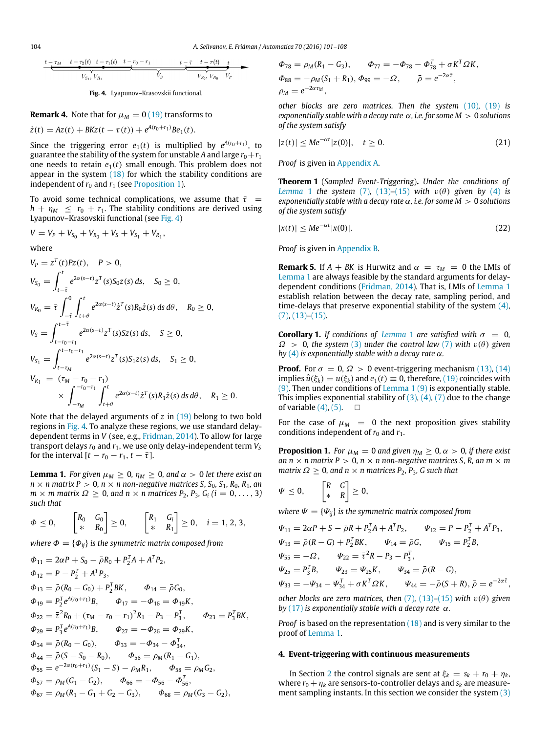<span id="page-3-2"></span>
$$
t - \tau_M \t t - \tau_2(t) \t t - \tau_1(t) \t t - r_0 - r_1 \t t - \frac{t - \bar{\tau} \t t - \tau(t)}{V_{S_1}, V_{R_1}} \t V_S
$$

**Fig. 4.** Lyapunov–Krasovskii functional.

**Remark 4.** Note that for 
$$
\mu_M = 0
$$
 (19) transforms to  
\n $\dot{z}(t) = Az(t) + BKz(t - \tau(t)) + e^{A(r_0 + r_1)}Be_1(t).$ 

Since the triggering error  $e_1(t)$  is multiplied by  $e^{A(r_0+r_1)}$ , to guarantee the stability of the system for unstable A and large  $r_0+r_1$ one needs to retain  $e_1(t)$  small enough. This problem does not appear in the system  $(18)$  for which the stability conditions are independent of  $r_0$  and  $r_1$  (see [Proposition 1\)](#page-3-1).

To avoid some technical complications, we assume that  $\bar{\tau}$  =  $h + \eta_M \leq r_0 + r_1$ . The stability conditions are derived using Lyapunov–Krasovskii functional (see [Fig. 4\)](#page-3-2)

$$
V = V_P + V_{S_0} + V_{R_0} + V_S + V_{S_1} + V_{R_1},
$$

where

$$
V_{P} = z^{T}(t)Pz(t), \quad P > 0,
$$
  
\n
$$
V_{S_{0}} = \int_{t-\bar{t}}^{t} e^{2\alpha(s-t)} z^{T}(s) S_{0} z(s) ds, \quad S_{0} \ge 0,
$$
  
\n
$$
V_{R_{0}} = \bar{\tau} \int_{-\bar{t}}^{0} \int_{t+\theta}^{t} e^{2\alpha(s-t)} \dot{z}^{T}(s) R_{0} \dot{z}(s) ds d\theta, \quad R_{0} \ge 0,
$$
  
\n
$$
V_{S} = \int_{t-r_{0}-r_{1}}^{t-\bar{\tau}} e^{2\alpha(s-t)} z^{T}(s) S z(s) ds, \quad S \ge 0,
$$
  
\n
$$
V_{S_{1}} = \int_{t-r_{M}}^{t-r_{0}-r_{1}} e^{2\alpha(s-t)} z^{T}(s) S_{1} z(s) ds, \quad S_{1} \ge 0,
$$
  
\n
$$
V_{R_{1}} = (\tau_{M} - r_{0} - r_{1}) \times \int_{-r_{M}}^{-r_{0}-r_{1}} \int_{t+\theta}^{t} e^{2\alpha(s-t)} \dot{z}^{T}(s) R_{1} \dot{z}(s) ds d\theta, \quad R_{1} \ge 0.
$$

Note that the delayed arguments of *z* in [\(19\)](#page-2-7) belong to two bold regions in [Fig. 4.](#page-3-2) To analyze these regions, we use standard delaydependent terms in *V* (see, e.g., [Fridman,](#page-7-13) [2014\)](#page-7-13). To allow for large transport delays  $r_0$  and  $r_1$ , we use only delay-independent term  $V_S$ for the interval  $[t - r_0 - r_1, t - \overline{\tau}].$ 

<span id="page-3-3"></span>**Lemma 1.** *For given*  $\mu_M \geq 0$ ,  $\eta_M \geq 0$ , and  $\alpha > 0$  *let there exist an*  $n \times n$  *matrix P* > 0*, n*  $\times$  *n non-negative matrices S, S*<sub>0</sub>*, S*<sub>1</sub>*, R*<sub>0</sub>*, R*<sub>1</sub>*, an m*  $\times$  *m* matrix  $\Omega \geq 0$ , and  $n \times n$  matrices  $P_2$ ,  $P_3$ ,  $G_i$  ( $i = 0, \ldots, 3$ ) *such that*

$$
\Phi \leq 0, \qquad \begin{bmatrix} R_0 & G_0 \\ * & R_0 \end{bmatrix} \geq 0, \qquad \begin{bmatrix} R_1 & G_i \\ * & R_1 \end{bmatrix} \geq 0, \quad i = 1, 2, 3,
$$

*where*  $\Phi = {\Phi_{ii}}$  *is the symmetric matrix composed from* 

$$
\Phi_{11} = 2\alpha P + S_0 - \bar{\rho}R_0 + P_2^T A + A^T P_2,
$$
  
\n
$$
\Phi_{12} = P - P_2^T + A^T P_3,
$$
  
\n
$$
\Phi_{13} = \bar{\rho}(R_0 - G_0) + P_2^T B K, \qquad \Phi_{14} = \bar{\rho}G_0,
$$
  
\n
$$
\Phi_{19} = P_2^T e^{A(r_0 + r_1)} B, \qquad \Phi_{17} = -\Phi_{16} = \Phi_{19} K,
$$
  
\n
$$
\Phi_{22} = \bar{\tau}^2 R_0 + (\tau_M - r_0 - r_1)^2 R_1 - P_3 - P_3^T, \qquad \Phi_{23} = P_3^T B K,
$$
  
\n
$$
\Phi_{29} = P_3^T e^{A(r_0 + r_1)} B, \qquad \Phi_{27} = -\Phi_{26} = \Phi_{29} K,
$$
  
\n
$$
\Phi_{34} = \bar{\rho}(R_0 - G_0), \qquad \Phi_{33} = -\Phi_{34} - \Phi_{34}^T,
$$
  
\n
$$
\Phi_{44} = \bar{\rho}(S - S_0 - R_0), \qquad \Phi_{56} = \rho_M (R_1 - G_1),
$$
  
\n
$$
\Phi_{55} = e^{-2\alpha(r_0 + r_1)} (S_1 - S) - \rho_M R_1, \qquad \Phi_{58} = \rho_M G_2,
$$
  
\n
$$
\Phi_{57} = \rho_M (G_1 - G_2), \qquad \Phi_{66} = -\Phi_{56} - \Phi_{56}^T,
$$
  
\n
$$
\Phi_{67} = \rho_M (R_1 - G_1 + G_2 - G_3), \qquad \Phi_{68} = \rho_M (G_3 - G_2),
$$

$$
\Phi_{78} = \rho_M (R_1 - G_3), \qquad \Phi_{77} = -\Phi_{78} - \Phi_{78}^T + \sigma K^T \Omega K,
$$
  
\n
$$
\Phi_{88} = -\rho_M (S_1 + R_1), \ \Phi_{99} = -\Omega, \qquad \bar{\rho} = e^{-2\alpha \bar{\tau}},
$$
  
\n
$$
\rho_M = e^{-2\alpha \tau_M},
$$

*other blocks are zero matrices. Then the system* [\(10\)](#page-1-9)*,* [\(19\)](#page-2-7) *is exponentially stable with a decay rate* α*, i.e. for some M* > 0 *solutions of the system satisfy*

<span id="page-3-4"></span>
$$
|z(t)| \le Me^{-\alpha t}|z(0)|, \quad t \ge 0.
$$
 (21)

*Proof* is given in [Appendix A.](#page-6-0)

<span id="page-3-0"></span>**Theorem 1** (*Sampled Event-Triggering*)**.** *Under the conditions of [Lemma](#page-3-3)* 1 *the system* [\(7\)](#page-1-6), [\(13\)](#page-2-2)–[\(15\)](#page-2-3) *with*  $v(\theta)$  *given by* [\(4\)](#page-1-4) *is exponentially stable with a decay rate* α*, i.e. for some M* > 0 *solutions of the system satisfy*

<span id="page-3-5"></span>
$$
|x(t)| \le Me^{-\alpha t} |x(0)|. \tag{22}
$$

*Proof* is given in [Appendix B.](#page-6-1)

**Remark 5.** If  $A + BK$  is Hurwitz and  $\alpha = \tau_M = 0$  the LMIs of [Lemma 1](#page-3-3) are always feasible by the standard arguments for delaydependent conditions [\(Fridman,](#page-7-13) [2014\)](#page-7-13). That is, LMIs of [Lemma 1](#page-3-3) establish relation between the decay rate, sampling period, and time-delays that preserve exponential stability of the system  $(4)$ , [\(7\),](#page-1-6) [\(13\)](#page-2-2)[–\(15\).](#page-2-3)

<span id="page-3-6"></span>**Corollary 1.** *If conditions of [Lemma](#page-3-3) 1 are satisfied with*  $\sigma = 0$ ,  $\Omega > 0$ , the system [\(3\)](#page-1-3) under the control law [\(7\)](#page-1-6) with  $v(\theta)$  given *by*  $(4)$  *is exponentially stable with a decay rate*  $\alpha$ *.* 

**Proof.** For  $\sigma = 0$ ,  $\Omega > 0$  event-triggering mechanism [\(13\),](#page-2-2) [\(14\)](#page-2-5) implies  $\hat{u}(\xi_k) = u(\xi_k)$  and  $e_1(t) \equiv 0$ , therefore, [\(19\)](#page-2-7) coincides with [\(9\).](#page-1-7) Then under conditions of [Lemma 1](#page-3-3) [\(9\)](#page-1-7) is exponentially stable. This implies exponential stability of  $(3)$ ,  $(4)$ ,  $(7)$  due to the change of variable  $(4)$ ,  $(5)$ .  $\Box$ 

For the case of  $\mu_M = 0$  the next proposition gives stability conditions independent of  $r_0$  and  $r_1$ .

<span id="page-3-1"></span>**Proposition 1.** *For*  $\mu_M = 0$  *and given*  $\eta_M \geq 0$ ,  $\alpha > 0$ , *if there exist an n*  $\times$  *n* matrix *P*  $> 0$ , *n*  $\times$  *n non-negative matrices S, R, an m*  $\times$  *m matrix*  $\Omega \geq 0$ *, and n* × *n* matrices  $P_2$ *, P*<sub>3</sub>*, G* such that

$$
\Psi \leq 0, \qquad \begin{bmatrix} R & G \\ * & R \end{bmatrix} \geq 0,
$$

*where*  $\Psi = {\Psi_{ii}}$  *is the symmetric matrix composed from* 

$$
\Psi_{11} = 2\alpha P + S - \bar{\rho}R + P_2^T A + A^T P_2, \qquad \Psi_{12} = P - P_2^T + A^T P_3,
$$
  
\n
$$
\Psi_{13} = \bar{\rho}(R - G) + P_2^T B K, \qquad \Psi_{14} = \bar{\rho}G, \qquad \Psi_{15} = P_2^T B,
$$
  
\n
$$
\Psi_{55} = -\Omega, \qquad \Psi_{22} = \bar{\tau}^2 R - P_3 - P_3^T,
$$
  
\n
$$
\Psi_{25} = P_3^T B, \qquad \Psi_{23} = \Psi_{25} K, \qquad \Psi_{34} = \bar{\rho}(R - G),
$$
  
\n
$$
\Psi_{33} = -\Psi_{34} - \Psi_{34}^T + \sigma K^T \Omega K, \qquad \Psi_{44} = -\bar{\rho}(S + R), \ \bar{\rho} = e^{-2\alpha \bar{\tau}},
$$

*other blocks are zero matrices, then*  $(7)$ ,  $(13)$ – $(15)$  *with*  $v(\theta)$  *given by* [\(17\)](#page-2-4) *is exponentially stable with a decay rate* α*.*

*Proof* is based on the representation [\(18\)](#page-2-6) and is very similar to the proof of [Lemma 1.](#page-3-3)

#### **4. Event-triggering with continuous measurements**

In Section [2](#page-1-10) the control signals are sent at  $\xi_k = s_k + r_0 + \eta_k$ , where  $r_0 + \eta_k$  are sensors-to-controller delays and  $s_k$  are measurement sampling instants. In this section we consider the system [\(3\)](#page-1-3)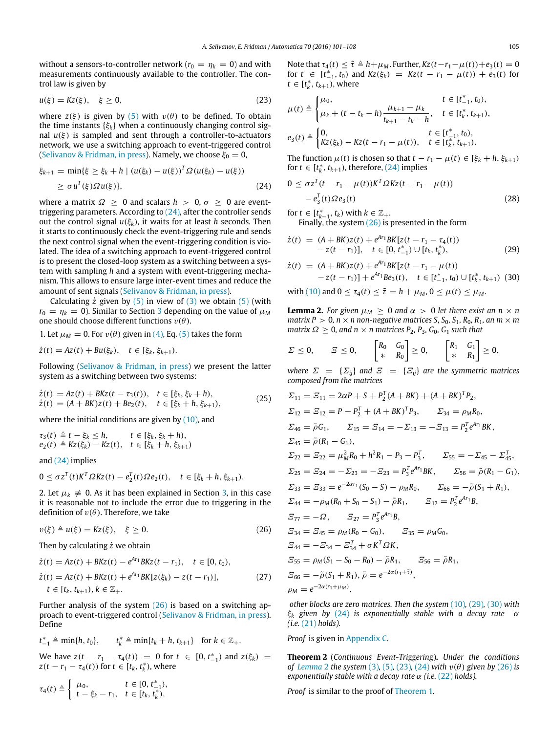without a sensors-to-controller network ( $r_0 = \eta_k = 0$ ) and with measurements continuously available to the controller. The control law is given by

$$
u(\xi) = Kz(\xi), \quad \xi \ge 0,
$$
\n<sup>(23)</sup>

where  $z(\xi)$  is given by [\(5\)](#page-1-5) with  $v(\theta)$  to be defined. To obtain the time instants {ξ*k*} when a continuously changing control signal  $u(\xi)$  is sampled and sent through a controller-to-actuators network, we use a switching approach to event-triggered control [\(Selivanov](#page-7-18) [&](#page-7-18) [Fridman,](#page-7-18) [in press\)](#page-7-18). Namely, we choose  $\xi_0 = 0$ ,

$$
\xi_{k+1} = \min\{\xi \ge \xi_k + h \mid (u(\xi_k) - u(\xi))^T \Omega(u(\xi_k) - u(\xi))
$$
  
 
$$
\ge \sigma u^T(\xi) \Omega u(\xi)\}, \tag{24}
$$

where a matrix  $\Omega \geq 0$  and scalars  $h > 0$ ,  $\sigma \geq 0$  are eventtriggering parameters. According to  $(24)$ , after the controller sends out the control signal  $u(\xi_k)$ , it waits for at least *h* seconds. Then it starts to continuously check the event-triggering rule and sends the next control signal when the event-triggering condition is violated. The idea of a switching approach to event-triggered control is to present the closed-loop system as a switching between a system with sampling *h* and a system with event-triggering mechanism. This allows to ensure large inter-event times and reduce the amount of sent signals [\(Selivanov](#page-7-18) [&](#page-7-18) [Fridman,](#page-7-18) [in press\)](#page-7-18).

Calculating  $\dot{z}$  given by [\(5\)](#page-1-5) in view of [\(3\)](#page-1-3) we obtain (5) (with  $r_0 = \eta_k = 0$ ). Similar to Section [3](#page-2-8) depending on the value of  $\mu_M$ one should choose different functions  $v(\theta)$ .

1. Let  $\mu_M = 0$ . For  $v(\theta)$  given in [\(4\),](#page-1-4) Eq. [\(5\)](#page-1-5) takes the form

$$
\dot{z}(t) = Az(t) + Bu(\xi_k), \quad t \in [\xi_k, \xi_{k+1}).
$$

Following [\(Selivanov](#page-7-18) [&](#page-7-18) [Fridman,](#page-7-18) [in press\)](#page-7-18) we present the latter system as a switching between two systems:

$$
\dot{z}(t) = Az(t) + BKz(t - \tau_3(t)), \quad t \in [\xi_k, \xi_k + h), \n\dot{z}(t) = (A + BK)z(t) + Be_2(t), \quad t \in [\xi_k + h, \xi_{k+1}),
$$
\n(25)

where the initial conditions are given by  $(10)$ , and

$$
\tau_3(t) \triangleq t - \xi_k \leq h, \qquad t \in [\xi_k, \xi_k + h), \ne_2(t) \triangleq Kz(\xi_k) - Kz(t), \quad t \in [\xi_k + h, \xi_{k+1})
$$

and [\(24\)](#page-4-0) implies

$$
0 \leq \sigma z^{T}(t) K^{T} \Omega K z(t) - e_{2}^{T}(t) \Omega e_{2}(t), \quad t \in [\xi_{k} + h, \xi_{k+1}).
$$

2. Let  $\mu_k \neq 0$ . As it has been explained in Section [3,](#page-2-8) in this case it is reasonable not to include the error due to triggering in the definition of  $v(\theta)$ . Therefore, we take

$$
v(\xi) \triangleq u(\xi) = Kz(\xi), \quad \xi \ge 0.
$$
 (26)

Then by calculating *z*˙ we obtain

$$
\dot{z}(t) = Az(t) + BKz(t) - e^{Ar_1}BKz(t - r_1), \quad t \in [0, t_0),
$$
  
\n
$$
\dot{z}(t) = Az(t) + BKz(t) + e^{Ar_1}BK[z(\xi_k) - z(t - r_1)], \quad t \in [t_k, t_{k+1}), k \in \mathbb{Z}_+.
$$
\n(27)

Further analysis of the system [\(26\)](#page-4-1) is based on a switching approach to event-triggered control [\(Selivanov](#page-7-18) [&](#page-7-18) [Fridman,](#page-7-18) [in press\)](#page-7-18). Define

$$
t_{-1}^* \triangleq \min\{h, t_0\}, \qquad t_k^* \triangleq \min\{t_k + h, t_{k+1}\} \quad \text{for } k \in \mathbb{Z}_+.
$$

We have  $z(t - r_1 - \tau_4(t)) = 0$  for  $t \in [0, t_{-1}^*)$  and  $z(\xi_k) =$ *z*(*t* − *r*<sub>1</sub> − *r*<sub>4</sub>(*t*)) for *t* ∈ [*t<sub>k</sub>*, *t*<sub>k</sub><sup>\*</sup>), where

$$
\tau_4(t) \triangleq \begin{cases} \mu_0, & t \in [0, t_{-1}^*), \\ t - \xi_k - r_1, & t \in [t_k, t_k^*). \end{cases}
$$

Note that  $\tau_4(t) \leq \tilde{\tau} \triangleq h + \mu_M$ . Further,  $Kz(t-r_1-\mu(t))+e_3(t) = 0$ for  $t \in [t_{-1}^*, t_0]$  and  $Kz(\xi_k) = Kz(t - r_1 - \mu(t)) + e_3(t)$  for *t* ∈  $[t_k^*, t_{k+1})$ , where

<span id="page-4-5"></span>
$$
\mu(t) \triangleq \begin{cases} \mu_0, & t \in [t_{-1}^*, t_0), \\ \mu_k + (t - t_k - h) \frac{\mu_{k+1} - \mu_k}{t_{k+1} - t_k - h}, & t \in [t_k^*, t_{k+1}), \\ e_3(t) \triangleq \begin{cases} 0, & t \in [t_{-1}^*, t_0), \\ Kz(\xi_k) - Kz(t - r_1 - \mu(t)), & t \in [t_k^*, t_{k+1}). \end{cases} \end{cases}
$$

The function  $\mu(t)$  is chosen so that  $t - r_1 - \mu(t) \in [\xi_k + h, \xi_{k+1})$ for  $t \in [t_k^*, t_{k+1})$ , therefore, [\(24\)](#page-4-0) implies

<span id="page-4-0"></span>
$$
0 \le \sigma z^{T} (t - r_1 - \mu(t)) K^{T} \Omega K z (t - r_1 - \mu(t))
$$
  
-  $e_3^{T}(t) \Omega e_3(t)$  (28)

for  $t \in [t_{k-1}^*, t_k)$  with  $k \in \mathbb{Z}_+$ .

<span id="page-4-8"></span><span id="page-4-3"></span><span id="page-4-2"></span>Finally, the system  $(26)$  is presented in the form

$$
\dot{z}(t) = (A + BK)z(t) + e^{At_1}BK[z(t - r_1 - \tau_4(t))-z(t - r_1)], \quad t \in [0, t_{-1}^*) \cup [t_k, t_k^*), \tag{29}
$$

$$
\dot{z}(t) = (A + BK)z(t) + e^{Ar_1}BK[z(t - r_1 - \mu(t))- z(t - r_1)] + e^{Ar_1}Be_3(t), \quad t \in [t_{-1}^*, t_0) \cup [t_k^*, t_{k+1})
$$
(30)

with [\(10\)](#page-1-9) and  $0 \le \tau_4(t) \le \tilde{\tau} = h + \mu_M$ ,  $0 \le \mu(t) \le \mu_M$ .

<span id="page-4-4"></span>**Lemma 2.** For given  $\mu_M \geq 0$  and  $\alpha > 0$  let there exist an  $n \times n$ *matrix P* > 0, *n*  $\times$  *n non-negative matrices S, S*<sub>0</sub>, S<sub>1</sub>, R<sub>0</sub>, R<sub>1</sub>, an *m*  $\times$  *m matrix*  $\Omega \geq 0$ *, and n* × *n matrices*  $P_2$ *,*  $P_3$ *,*  $G_0$ *,*  $G_1$  *such that* 

$$
\Sigma \leq 0, \qquad \Xi \leq 0, \qquad \begin{bmatrix} R_0 & G_0 \\ * & R_0 \end{bmatrix} \geq 0, \qquad \begin{bmatrix} R_1 & G_1 \\ * & R_1 \end{bmatrix} \geq 0,
$$

*where*  $\Sigma = {\Sigma_{ii}}$  *and*  $\Xi = {\Sigma_{ii}}$  *are the symmetric matrices composed from the matrices*

<span id="page-4-6"></span>
$$
\Sigma_{11} = \Sigma_{11} = 2\alpha P + S + P_2^T (A + BK) + (A + BK)^T P_2,
$$
  
\n
$$
\Sigma_{12} = \Sigma_{12} = P - P_2^T + (A + BK)^T P_3, \qquad \Sigma_{34} = \rho_M R_0,
$$
  
\n
$$
\Sigma_{46} = \tilde{\rho} G_1, \qquad \Sigma_{15} = \Sigma_{14} = -\Sigma_{13} = -\Sigma_{13} = P_2^T e^{Ar_1} BK,
$$
  
\n
$$
\Sigma_{45} = \tilde{\rho} (R_1 - G_1),
$$
  
\n
$$
\Sigma_{22} = \Sigma_{22} = \mu_M^2 R_0 + h^2 R_1 - P_3 - P_3^T, \qquad \Sigma_{55} = -\Sigma_{45} - \Sigma_{45}^T,
$$
  
\n
$$
\Sigma_{25} = \Sigma_{24} = -\Sigma_{23} = -\Sigma_{23} = P_3^T e^{Ar_1} BK, \qquad \Sigma_{56} = \tilde{\rho} (R_1 - G_1),
$$
  
\n
$$
\Sigma_{33} = \Sigma_{33} = e^{-2\alpha r_1} (S_0 - S) - \rho_M R_0, \qquad \Sigma_{66} = -\tilde{\rho} (S_1 + R_1),
$$
  
\n
$$
\Sigma_{44} = -\rho_M (R_0 + S_0 - S_1) - \tilde{\rho} R_1, \qquad \Sigma_{17} = P_2^T e^{Ar_1} B,
$$
  
\n
$$
\Sigma_{77} = -\Omega, \qquad \Sigma_{27} = P_3^T e^{Ar_1} B,
$$
  
\n
$$
\Sigma_{34} = \Sigma_{45} = \rho_M (R_0 - G_0), \qquad \Sigma_{35} = \rho_M G_0,
$$
  
\n
$$
\Sigma_{44} = -\Sigma_{34} - \Sigma_{34}^T + \sigma K^T \Omega K,
$$
  
\n
$$
\Sigma_{55} = \rho_M (S_1 - S_0 - R_0) - \tilde{\rho} R_1, \qquad \Sigma_{56} = \tilde{\rho} R_1,
$$
  
\n
$$
\Sigma_{66} = -\tilde{\rho} (S_1 + R_1), \tilde{\rho} = e^{-2\alpha (r_1
$$

<span id="page-4-1"></span>*other blocks are zero matrices. Then the system* [\(10\)](#page-1-9)*,* [\(29\)](#page-4-2)*,* [\(30\)](#page-4-3) *with* ξ*<sup>k</sup> given by* [\(24\)](#page-4-0) *is exponentially stable with a decay rate* α *(i.e.* [\(21\)](#page-3-4) *holds).*

## *Proof* is given in [Appendix C.](#page-6-2)

<span id="page-4-7"></span>**Theorem 2** (*Continuous Event-Triggering*)**.** *Under the conditions of [Lemma](#page-4-4)* 2 *the system* [\(3\)](#page-1-3), [\(5\)](#page-1-5), [\(23\)](#page-4-5), [\(24\)](#page-4-0) *with*  $v(\theta)$  *given by* [\(26\)](#page-4-1) *is exponentially stable with a decay rate*  $\alpha$  *(i.e.* [\(22\)](#page-3-5) *holds*).

*Proof* is similar to the proof of [Theorem 1.](#page-3-0)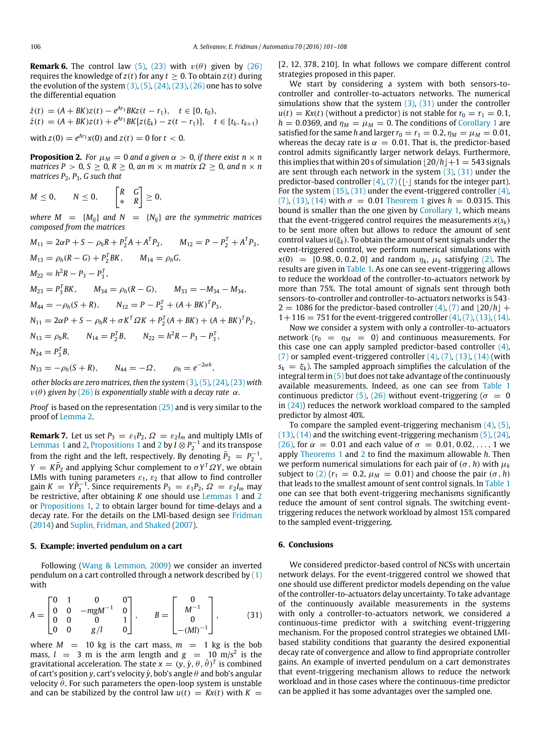**Remark 6.** The control law [\(5\),](#page-1-5) [\(23\)](#page-4-5) with  $v(\theta)$  given by [\(26\)](#page-4-1) requires the knowledge of  $z(t)$  for any  $t \ge 0$ . To obtain  $z(t)$  during the evolution of the system  $(3)$ ,  $(5)$ ,  $(24)$ ,  $(23)$ ,  $(26)$  one has to solve the differential equation

$$
\begin{aligned} \dot{z}(t) &= (A + BK)z(t) - e^{At_1}BKz(t - r_1), \quad t \in [0, t_0), \\ \dot{z}(t) &= (A + BK)z(t) + e^{At_1}BK[z(\xi_k) - z(t - r_1)], \quad t \in [t_k, t_{k+1}) \end{aligned}
$$

with  $z(0) = e^{Ar_1}x(0)$  and  $z(t) = 0$  for  $t < 0$ .

<span id="page-5-0"></span>**Proposition 2.** *For*  $\mu_M = 0$  *and a given*  $\alpha > 0$ *, if there exist*  $n \times n$ *matrices P* > 0*, S*  $\ge$  0*, R*  $\ge$  0*, an m*  $\times$  *m matrix*  $\Omega \ge$  0*, and n*  $\times$  *n matrices P*2*, P*3*, G such that*

$$
M\leq 0, \qquad N\leq 0, \qquad \begin{bmatrix} R & G \\ * & R \end{bmatrix} \geq 0,
$$

*where*  $M = {M_{ij}}$  *and*  $N = {N_{ij}}$  *are the symmetric matrices composed from the matrices*

$$
M_{11} = 2\alpha P + S - \rho_h R + P_2^T A + A^T P_2, \qquad M_{12} = P - P_2^T + A^T P_3,
$$
  
\n
$$
M_{13} = \rho_h (R - G) + P_2^T B K, \qquad M_{14} = \rho_h G,
$$
  
\n
$$
M_{22} = h^2 R - P_3 - P_3^T,
$$
  
\n
$$
M_{23} = P_3^T B K, \qquad M_{34} = \rho_h (R - G), \qquad M_{33} = -M_{34} - M_{34},
$$
  
\n
$$
M_{44} = -\rho_h (S + R), \qquad N_{12} = P - P_2^T + (A + BK)^T P_3,
$$
  
\n
$$
N_{11} = 2\alpha P + S - \rho_h R + \sigma K^T \Omega K + P_2^T (A + BK) + (A + BK)^T P_2,
$$
  
\n
$$
N_{13} = \rho_h R, \qquad N_{14} = P_2^T B, \qquad N_{22} = h^2 R - P_3 - P_3^T,
$$
  
\n
$$
N_{24} = P_3^T B,
$$
  
\n
$$
N_{33} = -\rho_h (S + R), \qquad N_{44} = -\Omega, \qquad \rho_h = e^{-2\alpha h},
$$

*other blocks are zero matrices, then the system* [\(3\)](#page-1-3)*,* [\(5\)](#page-1-5)*,* [\(24\)](#page-4-0)*,* [\(23\)](#page-4-5) *with*  $v(\theta)$  given by [\(26\)](#page-4-1) is exponentially stable with a decay rate  $\alpha$ .

*Proof* is based on the representation [\(25\)](#page-4-6) and is very similar to the proof of [Lemma 2.](#page-4-4)

**Remark 7.** Let us set  $P_3 = \varepsilon_1 P_2$ ,  $\Omega = \varepsilon_2 I_m$  and multiply LMIs of [Lemmas 1](#page-3-3) and [2,](#page-4-4) [Propositions 1](#page-3-1) and [2](#page-5-0) by  $I \overset{\sim}{\otimes} P_2^{-1}$  and its transpose from the right and the left, respectively. By denoting  $\bar{P}_2 = P_2^{-1}$ ,  $Y = K\bar{P}_2$  and applying Schur complement to  $\sigma Y^T \Omega Y$ , we obtain LMIs with tuning parameters  $\varepsilon_1$ ,  $\varepsilon_2$  that allow to find controller gain  $K = Y\overline{P}_2^{-1}$ . Since requirements  $P_3 = \varepsilon_1 P_2$ ,  $\Omega = \varepsilon_2 I_m$  may be restrictive, after obtaining *K* one should use [Lemmas 1](#page-3-3) and [2](#page-4-4) or [Propositions 1,](#page-3-1) [2](#page-5-0) to obtain larger bound for time-delays and a decay rate. For the details on the LMI-based design see [Fridman](#page-7-13) [\(2014\)](#page-7-13) and [Suplin,](#page-7-19) [Fridman,](#page-7-19) [and](#page-7-19) [Shaked](#page-7-19) [\(2007\)](#page-7-19).

### **5. Example: inverted pendulum on a cart**

Following [\(Wang](#page-7-20) [&](#page-7-20) [Lemmon,](#page-7-20) [2009\)](#page-7-20) we consider an inverted pendulum on a cart controlled through a network described by  $(1)$ with

$$
A = \begin{bmatrix} 0 & 1 & 0 & 0 \\ 0 & 0 & -mgM^{-1} & 0 \\ 0 & 0 & 0 & 1 \\ 0 & 0 & g/l & 0 \end{bmatrix}, \qquad B = \begin{bmatrix} 0 \\ M^{-1} \\ 0 \\ -(Ml)^{-1} \end{bmatrix}, \qquad (31)
$$

where  $M = 10$  kg is the cart mass,  $m = 1$  kg is the bob mass,  $l = 3$  m is the arm length and  $g = 10$  m/s<sup>2</sup> is the gravitational acceleration. The state  $x = (y, \dot{y}, \theta, \dot{\theta})^T$  is combined of cart's position *y*, cart's velocity  $\dot{y}$ , bob's angle  $\theta$  and bob's angular velocity  $θ$ . For such parameters the open-loop system is unstable and can be stabilized by the control law  $u(t) = Kx(t)$  with  $K =$ 

[2, 12, 378, 210]. In what follows we compare different control strategies proposed in this paper.

We start by considering a system with both sensors-tocontroller and controller-to-actuators networks. The numerical simulations show that the system  $(3)$ ,  $(31)$  under the controller  $u(t) = Kx(t)$  (without a predictor) is not stable for  $r_0 = r_1 = 0.1$ ,  $h = 0.0369$ , and  $\eta_M = \mu_M = 0$ . The conditions of [Corollary 1](#page-3-6) are satisfied for the same *h* and larger  $r_0 = r_1 = 0.2$ ,  $\eta_M = \mu_M = 0.01$ , whereas the decay rate is  $\alpha = 0.01$ . That is, the predictor-based control admits significantly larger network delays. Furthermore, this implies that within 20 s of simulation  $|20/h|+1 = 543$  signals are sent through each network in the system  $(3)$ ,  $(31)$  under the predictor-based controller  $(4)$ ,  $(7)$  ( $\lfloor \cdot \rfloor$  stands for the integer part). For the system  $(15)$ ,  $(31)$  under the event-triggered controller  $(4)$ , [\(7\),](#page-1-6) [\(13\),](#page-2-2) [\(14\)](#page-2-5) with  $\sigma = 0.01$  [Theorem 1](#page-3-0) gives  $h = 0.0315$ . This bound is smaller than the one given by [Corollary 1,](#page-3-6) which means that the event-triggered control requires the measurements  $x(s_k)$ to be sent more often but allows to reduce the amount of sent control values  $u(\xi_k)$ . To obtain the amount of sent signals under the event-triggered control, we perform numerical simulations with  $x(0) = [0.98, 0, 0.2, 0]$  and random  $\eta_k$ ,  $\mu_k$  satisfying [\(2\).](#page-1-11) The results are given in [Table 1.](#page-6-3) As one can see event-triggering allows to reduce the workload of the controller-to-actuators network by more than 75%. The total amount of signals sent through both sensors-to-controller and controller-to-actuators networks is 543·  $2 = 1086$  for the predictor-based controller  $(4)$ ,  $(7)$  and  $|20/h|$  +  $1+116 = 751$  for the event-triggered controller  $(4)$ ,  $(7)$ ,  $(13)$ ,  $(14)$ .

Now we consider a system with only a controller-to-actuators network  $(r_0 = \eta_M = 0)$  and continuous measurements. For this case one can apply sampled predictor-based controller  $(4)$ ,  $(7)$  or sampled event-triggered controller  $(4)$ ,  $(7)$ ,  $(13)$ ,  $(14)$  (with  $s_k = \xi_k$ ). The sampled approach simplifies the calculation of the integral term in  $(5)$  but does not take advantage of the continuously available measurements. Indeed, as one can see from [Table 1](#page-6-3) continuous predictor [\(5\),](#page-1-5) [\(26\)](#page-4-1) without event-triggering ( $\sigma = 0$ in  $(24)$ ) reduces the network workload compared to the sampled predictor by almost 40%.

To compare the sampled event-triggering mechanism [\(4\),](#page-1-4) [\(5\),](#page-1-5)  $(13)$ ,  $(14)$  and the switching event-triggering mechanism  $(5)$ ,  $(24)$ , [\(26\),](#page-4-1) for  $\alpha = 0.01$  and each value of  $\sigma = 0.01, 0.02, ..., 1$  we apply [Theorems 1](#page-3-0) and [2](#page-4-7) to find the maximum allowable *h*. Then we perform numerical simulations for each pair of  $(\sigma, h)$  with  $\mu_k$ subject to [\(2\)](#page-1-11) ( $r_1 = 0.2$ ,  $\mu_M = 0.01$ ) and choose the pair ( $\sigma$ , *h*) that leads to the smallest amount of sent control signals. In [Table 1](#page-6-3) one can see that both event-triggering mechanisms significantly reduce the amount of sent control signals. The switching eventtriggering reduces the network workload by almost 15% compared to the sampled event-triggering.

## **6. Conclusions**

<span id="page-5-1"></span>We considered predictor-based control of NCSs with uncertain network delays. For the event-triggered control we showed that one should use different predictor models depending on the value of the controller-to-actuators delay uncertainty. To take advantage of the continuously available measurements in the systems with only a controller-to-actuators network, we considered a continuous-time predictor with a switching event-triggering mechanism. For the proposed control strategies we obtained LMIbased stability conditions that guaranty the desired exponential decay rate of convergence and allow to find appropriate controller gains. An example of inverted pendulum on a cart demonstrates that event-triggering mechanism allows to reduce the network workload and in those cases where the continuous-time predictor can be applied it has some advantages over the sampled one.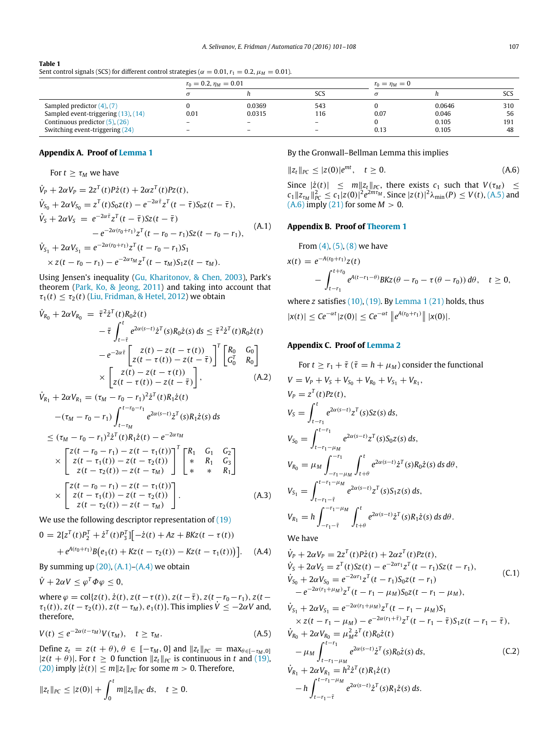## <span id="page-6-3"></span>**Table 1** Sent control signals (SCS) for different control strategies ( $\alpha = 0.01$ ,  $r_1 = 0.2$ ,  $\mu_M = 0.01$ ).

|                                     | $r_0 = 0.2$ , $\eta_M = 0.01$ |                          |                          | $r_0 = \eta_M = 0$ |        |     |
|-------------------------------------|-------------------------------|--------------------------|--------------------------|--------------------|--------|-----|
|                                     |                               |                          | SCS                      | $\sigma$           |        | SCS |
| Sampled predictor $(4)$ , $(7)$     |                               | 0.0369                   | 543                      |                    | 0.0646 | 310 |
| Sampled event-triggering (13), (14) | 0.01                          | 0.0315                   | 116                      | 0.07               | 0.046  | 56  |
| Continuous predictor $(5)$ , $(26)$ | $\overline{\phantom{a}}$      | $\overline{\phantom{a}}$ | $\overline{\phantom{a}}$ |                    | 0.105  | 191 |
| Switching event-triggering (24)     |                               | $\overline{\phantom{a}}$ | $\overline{\phantom{a}}$ | 0.13               | 0.105  | 48  |

## **Appendix A. Proof of [Lemma 1](#page-3-3)**

## <span id="page-6-0"></span>For  $t > \tau_M$  we have

$$
\dot{V}_{P} + 2\alpha V_{P} = 2z^{T}(t)P\dot{z}(t) + 2\alpha z^{T}(t)Pz(t),
$$
\n
$$
\dot{V}_{S_{0}} + 2\alpha V_{S_{0}} = z^{T}(t)S_{0}z(t) - e^{-2\alpha\bar{\tau}}z^{T}(t-\bar{\tau})S_{0}z(t-\bar{\tau}),
$$
\n
$$
\dot{V}_{S} + 2\alpha V_{S} = e^{-2\alpha\bar{\tau}}z^{T}(t-\bar{\tau})Sz(t-\bar{\tau})
$$
\n
$$
-e^{-2\alpha(r_{0}+r_{1})}z^{T}(t-r_{0}-r_{1})Sz(t-r_{0}-r_{1}),
$$
\n
$$
\dot{V}_{S_{1}} + 2\alpha V_{S_{1}} = e^{-2\alpha(r_{0}+r_{1})}z^{T}(t-r_{0}-r_{1})S_{1}
$$
\n(A.1)

$$
\times z(t-r_0-r_1)-e^{-2\alpha\tau_M}z^T(t-\tau_M)S_1z(t-\tau_M).
$$

Using Jensen's inequality [\(Gu,](#page-7-21) [Kharitonov,](#page-7-21) [&](#page-7-21) [Chen,](#page-7-21) [2003\)](#page-7-21), Park's theorem [\(Park,](#page-7-22) [Ko,](#page-7-22) [&](#page-7-22) [Jeong,](#page-7-22) [2011\)](#page-7-22) and taking into account that  $\tau_1(t) \leq \tau_2(t)$  [\(Liu,](#page-7-23) [Fridman,](#page-7-23) [&](#page-7-23) [Hetel,](#page-7-23) [2012\)](#page-7-23) we obtain

$$
\dot{V}_{R_0} + 2\alpha V_{R_0} = \bar{\tau}^2 \dot{z}^T(t) R_0 \dot{z}(t)
$$
\n
$$
- \bar{\tau} \int_{t-\bar{\tau}}^t e^{2\alpha(s-t)} \dot{z}^T(s) R_0 \dot{z}(s) ds \leq \bar{\tau}^2 \dot{z}^T(t) R_0 \dot{z}(t)
$$
\n
$$
- e^{-2\alpha \bar{\tau}} \left[ \frac{z(t) - z(t - \tau(t))}{z(t - \tau(t)) - z(t - \bar{\tau})} \right]^T \left[ \begin{matrix} R_0 & G_0 \\ G_0^T & R_0 \end{matrix} \right]
$$
\n
$$
\times \left[ \begin{matrix} z(t) - z(t - \tau(t)) \\ z(t - \tau(t)) - z(t - \bar{\tau}) \end{matrix} \right], \tag{A.2}
$$

$$
\dot{V}_{R_1} + 2\alpha V_{R_1} = (\tau_M - r_0 - r_1)^2 \dot{z}^T(t) R_1 \dot{z}(t) \n- (\tau_M - r_0 - r_1) \int_{t-\tau_M}^{t-r_0-r_1} e^{2\alpha(s-t)} \dot{z}^T(s) R_1 \dot{z}(s) ds \n\leq (\tau_M - r_0 - r_1)^2 \dot{z}^T(t) R_1 \dot{z}(t) - e^{-2\alpha \tau_M} \n\times \begin{bmatrix} z(t-r_0-r_1) - z(t-\tau_1(t)) \\ z(t-\tau_1(t)) - z(t-\tau_2(t)) \\ z(t-\tau_2(t)) - z(t-\tau_M) \end{bmatrix}^T \begin{bmatrix} R_1 & G_1 & G_2 \\ * & R_1 & G_3 \\ * & * & R_1 \end{bmatrix} \n\times \begin{bmatrix} z(t-r_0-r_1) - z(t-\tau_1(t)) \\ z(t-\tau_1(t)) - z(t-\tau_2(t)) \\ z(t-\tau_2(t)) - z(t-\tau_M) \end{bmatrix}.
$$
\n(A.3)

We use the following descriptor representation of  $(19)$ 

$$
0 = 2[zT(t)P2T + \dot{z}T(t)P3T][-\dot{z}(t) + Az + BKz(t - \tau(t))
$$

$$
+e^{A(r_0+r_1)}B(e_1(t)+Kz(t-\tau_2(t))-Kz(t-\tau_1(t)))]. \quad (A.4)
$$

By summing up  $(20)$ ,  $(A.1)$ – $(A.4)$  we obtain

 $\dot{V} + 2\alpha V \leq \varphi^T \Phi \varphi \leq 0,$ 

where  $\varphi = \text{col}\{z(t), \dot{z}(t), z(t-\tau(t)), z(t-\bar{\tau}), z(t-r_0-r_1), z(t-\tau(t))\}$  $\tau_1(t)$ ),  $z(t - \tau_2(t))$ ,  $z(t - \tau_M)$ ,  $e_1(t)$ }. This implies  $\dot{V} \le -2\alpha V$  and, therefore,

$$
V(t) \le e^{-2\alpha(t-\tau_M)} V(\tau_M), \quad t \ge \tau_M. \tag{A.5}
$$

Define  $z_t = z(t + \theta)$ ,  $\theta \in [-\tau_M, 0]$  and  $||z_t||_{PC} = \max_{\theta \in [-\tau_M, 0]}$  $|z(t + \theta)|$ . For *t* ≥ 0 function  $||z_t||_{PC}$  is continuous in *t* and [\(19\),](#page-2-7) [\(20\)](#page-2-9) imply  $|\dot{z}(t)|$  ≤  $m||z_t||_{PC}$  for some  $m > 0$ . Therefore,

$$
||z_t||_{PC} \leq |z(0)| + \int_0^t m||z_s||_{PC} ds, \quad t \geq 0.
$$

## By the Gronwall–Bellman Lemma this implies

<span id="page-6-7"></span>
$$
||z_t||_{PC} \le |z(0)|e^{mt}, \quad t \ge 0. \tag{A.6}
$$

<span id="page-6-4"></span>Since  $|\dot{z}(t)| \leq m \|z_t\|_{PC}$ , there exists  $c_1$  such that  $V(\tau_M) \leq$  $c_1 ||z_{\tau_M}||_{PC}^2 \le c_1 |z(0)|^2 e^{2m\tau_M}$ . Since  $|z(t)|^2 \lambda_{\min}(P) \le V(t)$ , [\(A.5\)](#page-6-6) and  $(A.6)$  imply  $(21)$  for some  $M > 0$ .

### **Appendix B. Proof of [Theorem 1](#page-3-0)**

<span id="page-6-1"></span>From 
$$
(4)
$$
,  $(5)$ ,  $(8)$  we have

$$
x(t) = e^{-A(r_0+r_1)}z(t)
$$
  
 
$$
- \int_{t-r_1}^{t+r_0} e^{A(t-r_1-\theta)}BKz(\theta-r_0-\tau(\theta-r_0)) d\theta, \quad t \ge 0,
$$

where *z* satisfies [\(10\),](#page-1-9) [\(19\).](#page-2-7) By [Lemma 1](#page-3-3) [\(21\)](#page-3-4) holds, thus  $|x(t)| \le Ce^{-\alpha t} |z(0)| \le Ce^{-\alpha t} ||e^{A(r_0+r_1)}|| |x(0)|.$ 

## <span id="page-6-2"></span>**Appendix C. Proof of [Lemma 2](#page-4-4)**

For 
$$
t \ge r_1 + \tilde{\tau}
$$
 ( $\tilde{\tau} = h + \mu_M$ ) consider the functional  
\n
$$
V = V_P + V_S + V_{S_0} + V_{R_0} + V_{S_1} + V_{R_1},
$$
\n
$$
V_P = z^T(t)Pz(t),
$$
\n
$$
V_S = \int_{t-r_1}^t e^{2\alpha(s-t)} z^T(s)Sz(s) ds,
$$
\n
$$
V_{S_0} = \int_{t-r_1-\mu_M}^{t-r_1} e^{2\alpha(s-t)} z^T(s)S_0z(s) ds,
$$
\n
$$
V_{R_0} = \mu_M \int_{-r_1-\mu_M}^{-r_1} \int_{t+\theta}^t e^{2\alpha(s-t)} \dot{z}^T(s)R_0\dot{z}(s) ds d\theta,
$$
\n
$$
V_{S_1} = \int_{t-r_1-\tilde{\tau}}^{t-r_1-\mu_M} e^{2\alpha(s-t)} z^T(s)S_1z(s) ds,
$$
\n
$$
V_{R_1} = h \int_{-r_1-\tilde{\tau}}^{-r_1-\mu_M} \int_{t+\theta}^t e^{2\alpha(s-t)} \dot{z}^T(s)R_1\dot{z}(s) ds d\theta.
$$

<span id="page-6-8"></span>We have

<span id="page-6-5"></span>
$$
\dot{V}_P + 2\alpha V_P = 2z^T(t)P\dot{z}(t) + 2\alpha z^T(t)Pz(t),
$$
\n
$$
\dot{V}_S + 2\alpha V_S = z^T(t)Sz(t) - e^{-2\alpha r_1}z^T(t - r_1)Sz(t - r_1),
$$
\n
$$
\dot{V}_{S_0} + 2\alpha V_{S_0} = e^{-2\alpha r_1}z^T(t - r_1)S_0z(t - r_1)
$$
\n
$$
-e^{-2\alpha (r_1 + \mu_M)}z^T(t - r_1 - \mu_M)S_0z(t - r_1 - \mu_M),
$$
\n(C.1)

<span id="page-6-9"></span><span id="page-6-6"></span>
$$
\dot{V}_{S_1} + 2\alpha V_{S_1} = e^{-2\alpha (r_1 + \mu_M)} z^T (t - r_1 - \mu_M) S_1
$$
\n
$$
\times z(t - r_1 - \mu_M) - e^{-2\alpha (r_1 + \tilde{\tau})} z^T (t - r_1 - \tilde{\tau}) S_1 z(t - r_1 - \tilde{\tau}),
$$
\n
$$
\dot{V}_{R_0} + 2\alpha V_{R_0} = \mu_M^2 \dot{z}^T (t) R_0 \dot{z}(t)
$$
\n
$$
-\mu_M \int_{t - r_1 - \mu_M}^{t - r_1} e^{2\alpha (s - t)} \dot{z}^T (s) R_0 \dot{z}(s) ds,
$$
\n(C.2)\n
$$
\dot{V}_{R_1} + 2\alpha V_{R_1} = h^2 \dot{z}^T (t) R_1 \dot{z}(t)
$$
\n
$$
-h \int_{t - r_1 - \tilde{\tau}}^{t - r_1 - \mu_M} e^{2\alpha (s - t)} \dot{z}^T (s) R_1 \dot{z}(s) ds.
$$